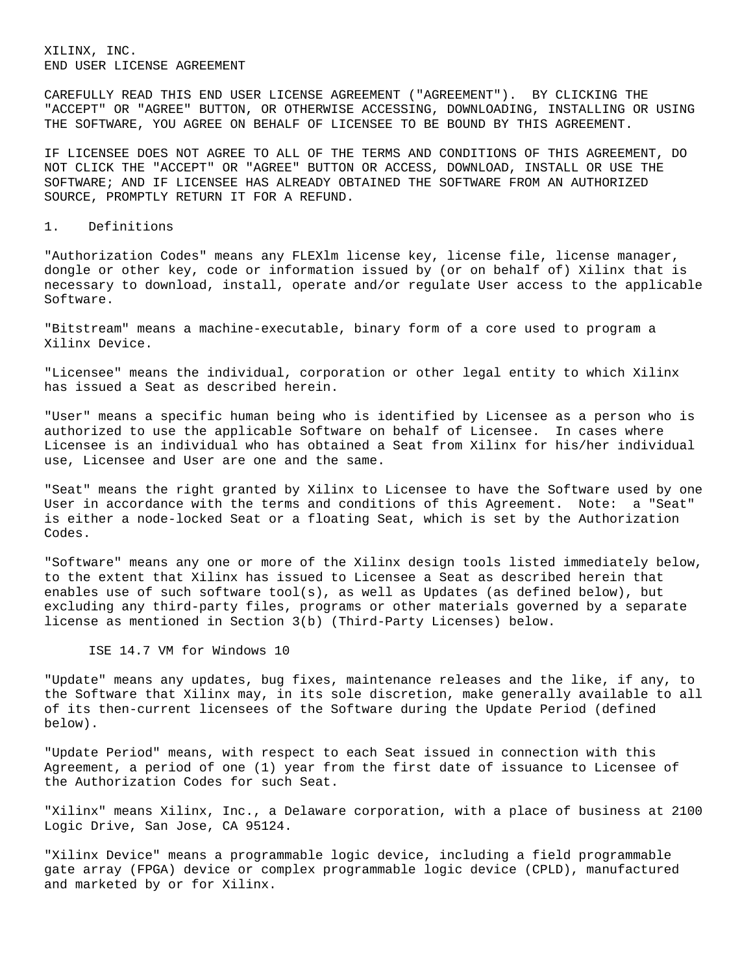XILINX, INC. END USER LICENSE AGREEMENT

CAREFULLY READ THIS END USER LICENSE AGREEMENT ("AGREEMENT"). BY CLICKING THE "ACCEPT" OR "AGREE" BUTTON, OR OTHERWISE ACCESSING, DOWNLOADING, INSTALLING OR USING THE SOFTWARE, YOU AGREE ON BEHALF OF LICENSEE TO BE BOUND BY THIS AGREEMENT.

IF LICENSEE DOES NOT AGREE TO ALL OF THE TERMS AND CONDITIONS OF THIS AGREEMENT, DO NOT CLICK THE "ACCEPT" OR "AGREE" BUTTON OR ACCESS, DOWNLOAD, INSTALL OR USE THE SOFTWARE; AND IF LICENSEE HAS ALREADY OBTAINED THE SOFTWARE FROM AN AUTHORIZED SOURCE, PROMPTLY RETURN IT FOR A REFUND.

#### 1. Definitions

"Authorization Codes" means any FLEXlm license key, license file, license manager, dongle or other key, code or information issued by (or on behalf of) Xilinx that is necessary to download, install, operate and/or regulate User access to the applicable Software.

"Bitstream" means a machine-executable, binary form of a core used to program a Xilinx Device.

"Licensee" means the individual, corporation or other legal entity to which Xilinx has issued a Seat as described herein.

"User" means a specific human being who is identified by Licensee as a person who is authorized to use the applicable Software on behalf of Licensee. In cases where Licensee is an individual who has obtained a Seat from Xilinx for his/her individual use, Licensee and User are one and the same.

"Seat" means the right granted by Xilinx to Licensee to have the Software used by one User in accordance with the terms and conditions of this Agreement. Note: a "Seat" is either a node-locked Seat or a floating Seat, which is set by the Authorization Codes.

"Software" means any one or more of the Xilinx design tools listed immediately below, to the extent that Xilinx has issued to Licensee a Seat as described herein that enables use of such software tool(s), as well as Updates (as defined below), but excluding any third-party files, programs or other materials governed by a separate license as mentioned in Section 3(b) (Third-Party Licenses) below.

ISE 14.7 VM for Windows 10

"Update" means any updates, bug fixes, maintenance releases and the like, if any, to the Software that Xilinx may, in its sole discretion, make generally available to all of its then-current licensees of the Software during the Update Period (defined below).

"Update Period" means, with respect to each Seat issued in connection with this Agreement, a period of one (1) year from the first date of issuance to Licensee of the Authorization Codes for such Seat.

"Xilinx" means Xilinx, Inc., a Delaware corporation, with a place of business at 2100 Logic Drive, San Jose, CA 95124.

"Xilinx Device" means a programmable logic device, including a field programmable gate array (FPGA) device or complex programmable logic device (CPLD), manufactured and marketed by or for Xilinx.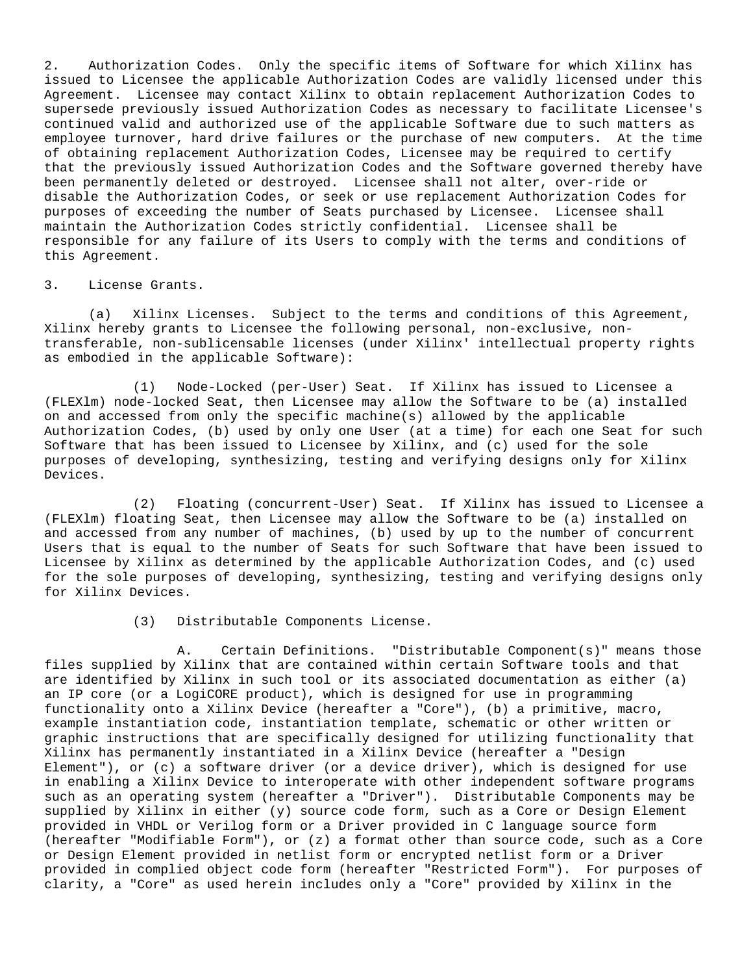2. Authorization Codes. Only the specific items of Software for which Xilinx has issued to Licensee the applicable Authorization Codes are validly licensed under this Agreement. Licensee may contact Xilinx to obtain replacement Authorization Codes to supersede previously issued Authorization Codes as necessary to facilitate Licensee's continued valid and authorized use of the applicable Software due to such matters as employee turnover, hard drive failures or the purchase of new computers. At the time of obtaining replacement Authorization Codes, Licensee may be required to certify that the previously issued Authorization Codes and the Software governed thereby have been permanently deleted or destroyed. Licensee shall not alter, over-ride or disable the Authorization Codes, or seek or use replacement Authorization Codes for purposes of exceeding the number of Seats purchased by Licensee. Licensee shall maintain the Authorization Codes strictly confidential. Licensee shall be responsible for any failure of its Users to comply with the terms and conditions of this Agreement.

## 3. License Grants.

(a) Xilinx Licenses. Subject to the terms and conditions of this Agreement, Xilinx hereby grants to Licensee the following personal, non-exclusive, nontransferable, non-sublicensable licenses (under Xilinx' intellectual property rights as embodied in the applicable Software):

(1) Node-Locked (per-User) Seat. If Xilinx has issued to Licensee a (FLEXlm) node-locked Seat, then Licensee may allow the Software to be (a) installed on and accessed from only the specific machine(s) allowed by the applicable Authorization Codes, (b) used by only one User (at a time) for each one Seat for such Software that has been issued to Licensee by Xilinx, and (c) used for the sole purposes of developing, synthesizing, testing and verifying designs only for Xilinx Devices.

(2) Floating (concurrent-User) Seat. If Xilinx has issued to Licensee a (FLEXlm) floating Seat, then Licensee may allow the Software to be (a) installed on and accessed from any number of machines, (b) used by up to the number of concurrent Users that is equal to the number of Seats for such Software that have been issued to Licensee by Xilinx as determined by the applicable Authorization Codes, and (c) used for the sole purposes of developing, synthesizing, testing and verifying designs only for Xilinx Devices.

(3) Distributable Components License.

A. Certain Definitions. "Distributable Component(s)" means those files supplied by Xilinx that are contained within certain Software tools and that are identified by Xilinx in such tool or its associated documentation as either (a) an IP core (or a LogiCORE product), which is designed for use in programming functionality onto a Xilinx Device (hereafter a "Core"), (b) a primitive, macro, example instantiation code, instantiation template, schematic or other written or graphic instructions that are specifically designed for utilizing functionality that Xilinx has permanently instantiated in a Xilinx Device (hereafter a "Design Element"), or (c) a software driver (or a device driver), which is designed for use in enabling a Xilinx Device to interoperate with other independent software programs such as an operating system (hereafter a "Driver"). Distributable Components may be supplied by Xilinx in either (y) source code form, such as a Core or Design Element provided in VHDL or Verilog form or a Driver provided in C language source form (hereafter "Modifiable Form"), or (z) a format other than source code, such as a Core or Design Element provided in netlist form or encrypted netlist form or a Driver provided in complied object code form (hereafter "Restricted Form"). For purposes of clarity, a "Core" as used herein includes only a "Core" provided by Xilinx in the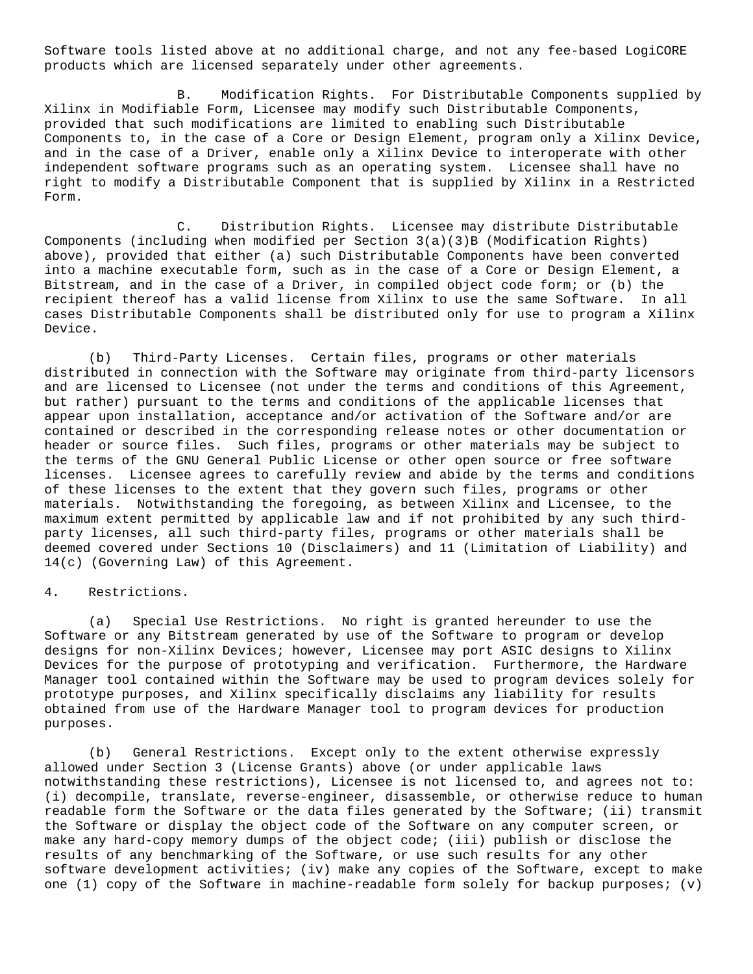Software tools listed above at no additional charge, and not any fee-based LogiCORE products which are licensed separately under other agreements.

B. Modification Rights. For Distributable Components supplied by Xilinx in Modifiable Form, Licensee may modify such Distributable Components, provided that such modifications are limited to enabling such Distributable Components to, in the case of a Core or Design Element, program only a Xilinx Device, and in the case of a Driver, enable only a Xilinx Device to interoperate with other independent software programs such as an operating system. Licensee shall have no right to modify a Distributable Component that is supplied by Xilinx in a Restricted Form.

C. Distribution Rights. Licensee may distribute Distributable Components (including when modified per Section 3(a)(3)B (Modification Rights) above), provided that either (a) such Distributable Components have been converted into a machine executable form, such as in the case of a Core or Design Element, a Bitstream, and in the case of a Driver, in compiled object code form; or (b) the recipient thereof has a valid license from Xilinx to use the same Software. In all cases Distributable Components shall be distributed only for use to program a Xilinx Device.

(b) Third-Party Licenses. Certain files, programs or other materials distributed in connection with the Software may originate from third-party licensors and are licensed to Licensee (not under the terms and conditions of this Agreement, but rather) pursuant to the terms and conditions of the applicable licenses that appear upon installation, acceptance and/or activation of the Software and/or are contained or described in the corresponding release notes or other documentation or header or source files. Such files, programs or other materials may be subject to the terms of the GNU General Public License or other open source or free software licenses. Licensee agrees to carefully review and abide by the terms and conditions of these licenses to the extent that they govern such files, programs or other materials. Notwithstanding the foregoing, as between Xilinx and Licensee, to the maximum extent permitted by applicable law and if not prohibited by any such thirdparty licenses, all such third-party files, programs or other materials shall be deemed covered under Sections 10 (Disclaimers) and 11 (Limitation of Liability) and 14(c) (Governing Law) of this Agreement.

# 4. Restrictions.

(a) Special Use Restrictions. No right is granted hereunder to use the Software or any Bitstream generated by use of the Software to program or develop designs for non-Xilinx Devices; however, Licensee may port ASIC designs to Xilinx Devices for the purpose of prototyping and verification. Furthermore, the Hardware Manager tool contained within the Software may be used to program devices solely for prototype purposes, and Xilinx specifically disclaims any liability for results obtained from use of the Hardware Manager tool to program devices for production purposes.

(b) General Restrictions. Except only to the extent otherwise expressly allowed under Section 3 (License Grants) above (or under applicable laws notwithstanding these restrictions), Licensee is not licensed to, and agrees not to: (i) decompile, translate, reverse-engineer, disassemble, or otherwise reduce to human readable form the Software or the data files generated by the Software; (ii) transmit the Software or display the object code of the Software on any computer screen, or make any hard-copy memory dumps of the object code; (iii) publish or disclose the results of any benchmarking of the Software, or use such results for any other software development activities; (iv) make any copies of the Software, except to make one (1) copy of the Software in machine-readable form solely for backup purposes; (v)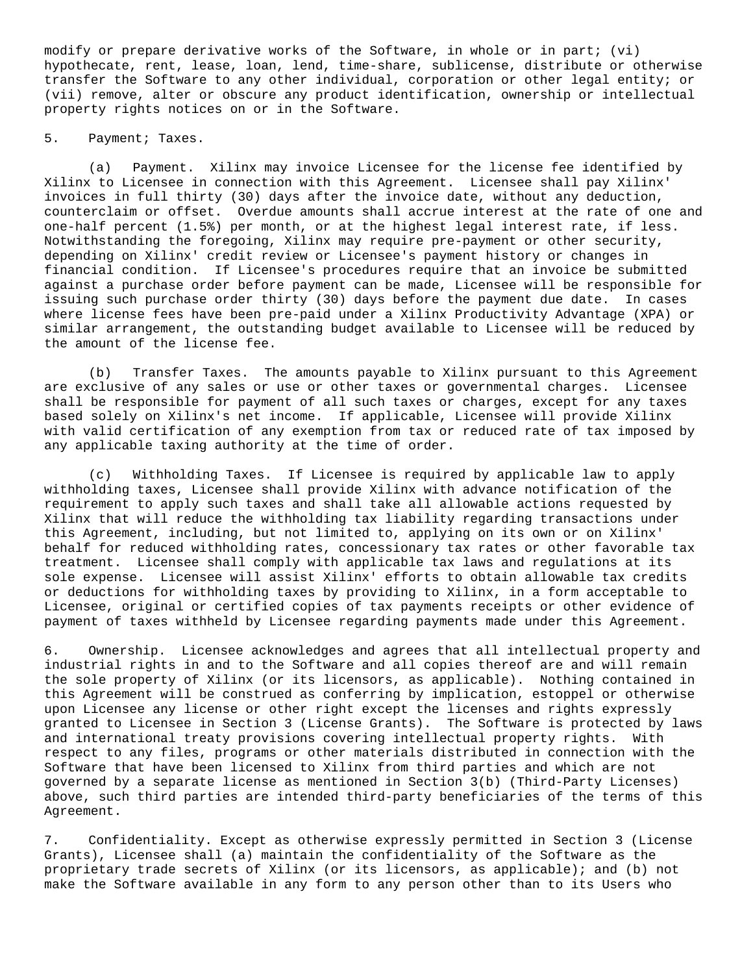modify or prepare derivative works of the Software, in whole or in part; (vi) hypothecate, rent, lease, loan, lend, time-share, sublicense, distribute or otherwise transfer the Software to any other individual, corporation or other legal entity; or (vii) remove, alter or obscure any product identification, ownership or intellectual property rights notices on or in the Software.

# 5. Payment; Taxes.

(a) Payment. Xilinx may invoice Licensee for the license fee identified by Xilinx to Licensee in connection with this Agreement. Licensee shall pay Xilinx' invoices in full thirty (30) days after the invoice date, without any deduction, counterclaim or offset. Overdue amounts shall accrue interest at the rate of one and one-half percent (1.5%) per month, or at the highest legal interest rate, if less. Notwithstanding the foregoing, Xilinx may require pre-payment or other security, depending on Xilinx' credit review or Licensee's payment history or changes in financial condition. If Licensee's procedures require that an invoice be submitted against a purchase order before payment can be made, Licensee will be responsible for issuing such purchase order thirty (30) days before the payment due date. In cases where license fees have been pre-paid under a Xilinx Productivity Advantage (XPA) or similar arrangement, the outstanding budget available to Licensee will be reduced by the amount of the license fee.

(b) Transfer Taxes. The amounts payable to Xilinx pursuant to this Agreement are exclusive of any sales or use or other taxes or governmental charges. Licensee shall be responsible for payment of all such taxes or charges, except for any taxes based solely on Xilinx's net income. If applicable, Licensee will provide Xilinx with valid certification of any exemption from tax or reduced rate of tax imposed by any applicable taxing authority at the time of order.

(c) Withholding Taxes. If Licensee is required by applicable law to apply withholding taxes, Licensee shall provide Xilinx with advance notification of the requirement to apply such taxes and shall take all allowable actions requested by Xilinx that will reduce the withholding tax liability regarding transactions under this Agreement, including, but not limited to, applying on its own or on Xilinx' behalf for reduced withholding rates, concessionary tax rates or other favorable tax treatment. Licensee shall comply with applicable tax laws and regulations at its sole expense. Licensee will assist Xilinx' efforts to obtain allowable tax credits or deductions for withholding taxes by providing to Xilinx, in a form acceptable to Licensee, original or certified copies of tax payments receipts or other evidence of payment of taxes withheld by Licensee regarding payments made under this Agreement.

6. Ownership. Licensee acknowledges and agrees that all intellectual property and industrial rights in and to the Software and all copies thereof are and will remain the sole property of Xilinx (or its licensors, as applicable). Nothing contained in this Agreement will be construed as conferring by implication, estoppel or otherwise upon Licensee any license or other right except the licenses and rights expressly granted to Licensee in Section 3 (License Grants). The Software is protected by laws and international treaty provisions covering intellectual property rights. With respect to any files, programs or other materials distributed in connection with the Software that have been licensed to Xilinx from third parties and which are not governed by a separate license as mentioned in Section 3(b) (Third-Party Licenses) above, such third parties are intended third-party beneficiaries of the terms of this Agreement.

7. Confidentiality. Except as otherwise expressly permitted in Section 3 (License Grants), Licensee shall (a) maintain the confidentiality of the Software as the proprietary trade secrets of Xilinx (or its licensors, as applicable); and (b) not make the Software available in any form to any person other than to its Users who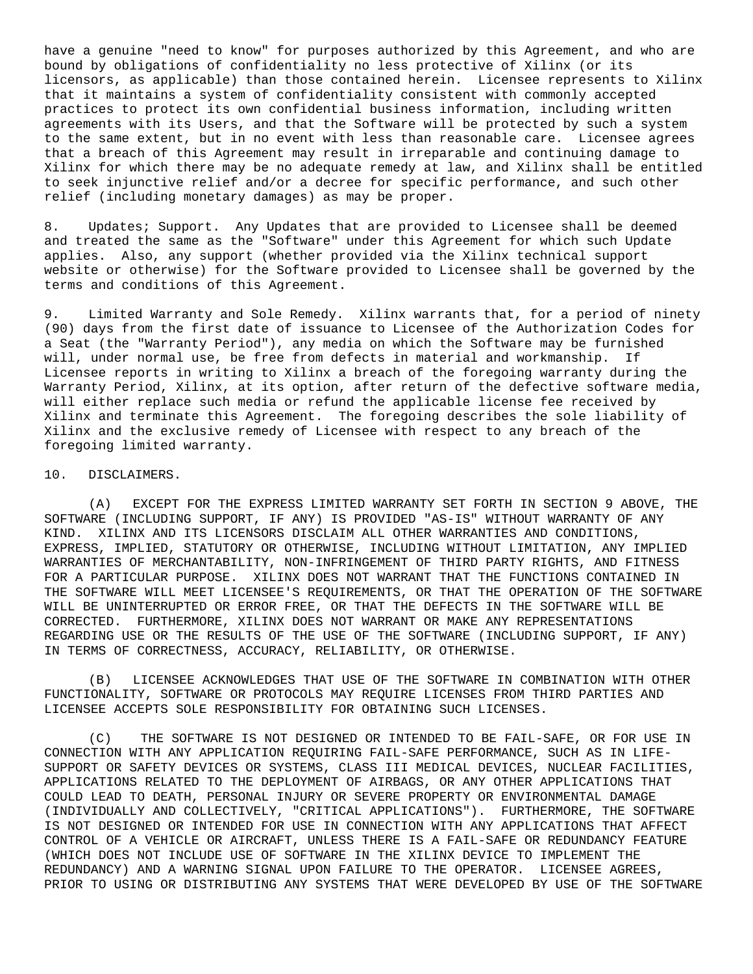have a genuine "need to know" for purposes authorized by this Agreement, and who are bound by obligations of confidentiality no less protective of Xilinx (or its licensors, as applicable) than those contained herein. Licensee represents to Xilinx that it maintains a system of confidentiality consistent with commonly accepted practices to protect its own confidential business information, including written agreements with its Users, and that the Software will be protected by such a system to the same extent, but in no event with less than reasonable care. Licensee agrees that a breach of this Agreement may result in irreparable and continuing damage to Xilinx for which there may be no adequate remedy at law, and Xilinx shall be entitled to seek injunctive relief and/or a decree for specific performance, and such other relief (including monetary damages) as may be proper.

8. Updates; Support. Any Updates that are provided to Licensee shall be deemed and treated the same as the "Software" under this Agreement for which such Update applies. Also, any support (whether provided via the Xilinx technical support website or otherwise) for the Software provided to Licensee shall be governed by the terms and conditions of this Agreement.

9. Limited Warranty and Sole Remedy. Xilinx warrants that, for a period of ninety (90) days from the first date of issuance to Licensee of the Authorization Codes for a Seat (the "Warranty Period"), any media on which the Software may be furnished will, under normal use, be free from defects in material and workmanship. If Licensee reports in writing to Xilinx a breach of the foregoing warranty during the Warranty Period, Xilinx, at its option, after return of the defective software media, will either replace such media or refund the applicable license fee received by Xilinx and terminate this Agreement. The foregoing describes the sole liability of Xilinx and the exclusive remedy of Licensee with respect to any breach of the foregoing limited warranty.

### 10. DISCLAIMERS.

(A) EXCEPT FOR THE EXPRESS LIMITED WARRANTY SET FORTH IN SECTION 9 ABOVE, THE SOFTWARE (INCLUDING SUPPORT, IF ANY) IS PROVIDED "AS-IS" WITHOUT WARRANTY OF ANY KIND. XILINX AND ITS LICENSORS DISCLAIM ALL OTHER WARRANTIES AND CONDITIONS, EXPRESS, IMPLIED, STATUTORY OR OTHERWISE, INCLUDING WITHOUT LIMITATION, ANY IMPLIED WARRANTIES OF MERCHANTABILITY, NON-INFRINGEMENT OF THIRD PARTY RIGHTS, AND FITNESS FOR A PARTICULAR PURPOSE. XILINX DOES NOT WARRANT THAT THE FUNCTIONS CONTAINED IN THE SOFTWARE WILL MEET LICENSEE'S REQUIREMENTS, OR THAT THE OPERATION OF THE SOFTWARE WILL BE UNINTERRUPTED OR ERROR FREE, OR THAT THE DEFECTS IN THE SOFTWARE WILL BE CORRECTED. FURTHERMORE, XILINX DOES NOT WARRANT OR MAKE ANY REPRESENTATIONS REGARDING USE OR THE RESULTS OF THE USE OF THE SOFTWARE (INCLUDING SUPPORT, IF ANY) IN TERMS OF CORRECTNESS, ACCURACY, RELIABILITY, OR OTHERWISE.

(B) LICENSEE ACKNOWLEDGES THAT USE OF THE SOFTWARE IN COMBINATION WITH OTHER FUNCTIONALITY, SOFTWARE OR PROTOCOLS MAY REQUIRE LICENSES FROM THIRD PARTIES AND LICENSEE ACCEPTS SOLE RESPONSIBILITY FOR OBTAINING SUCH LICENSES.

(C) THE SOFTWARE IS NOT DESIGNED OR INTENDED TO BE FAIL-SAFE, OR FOR USE IN CONNECTION WITH ANY APPLICATION REQUIRING FAIL-SAFE PERFORMANCE, SUCH AS IN LIFE-SUPPORT OR SAFETY DEVICES OR SYSTEMS, CLASS III MEDICAL DEVICES, NUCLEAR FACILITIES, APPLICATIONS RELATED TO THE DEPLOYMENT OF AIRBAGS, OR ANY OTHER APPLICATIONS THAT COULD LEAD TO DEATH, PERSONAL INJURY OR SEVERE PROPERTY OR ENVIRONMENTAL DAMAGE (INDIVIDUALLY AND COLLECTIVELY, "CRITICAL APPLICATIONS"). FURTHERMORE, THE SOFTWARE IS NOT DESIGNED OR INTENDED FOR USE IN CONNECTION WITH ANY APPLICATIONS THAT AFFECT CONTROL OF A VEHICLE OR AIRCRAFT, UNLESS THERE IS A FAIL-SAFE OR REDUNDANCY FEATURE (WHICH DOES NOT INCLUDE USE OF SOFTWARE IN THE XILINX DEVICE TO IMPLEMENT THE REDUNDANCY) AND A WARNING SIGNAL UPON FAILURE TO THE OPERATOR. LICENSEE AGREES, PRIOR TO USING OR DISTRIBUTING ANY SYSTEMS THAT WERE DEVELOPED BY USE OF THE SOFTWARE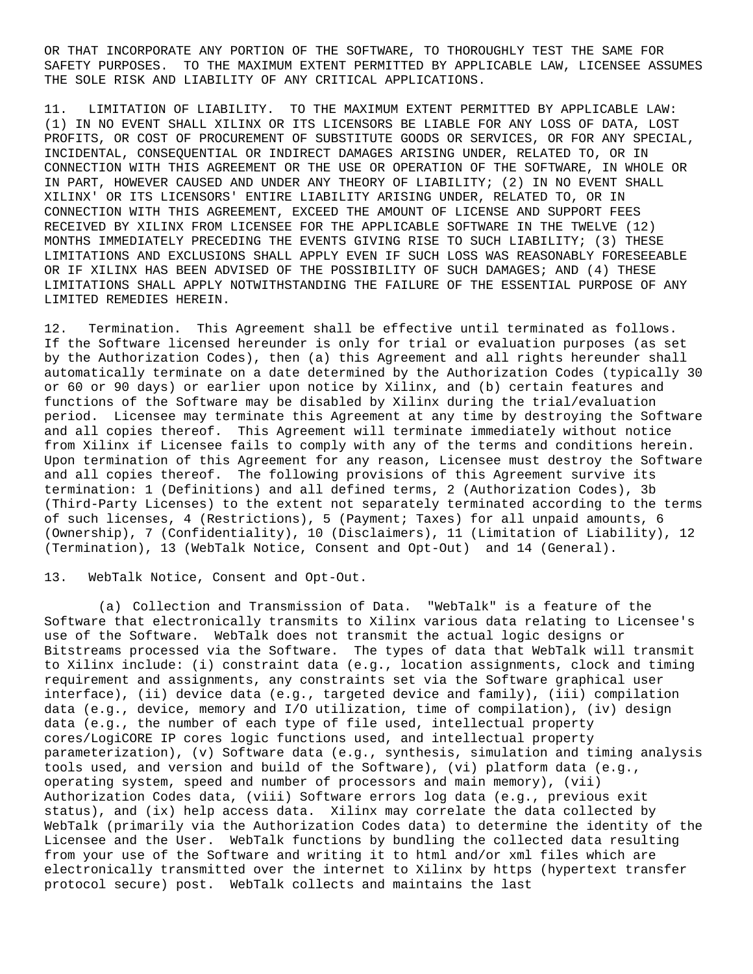OR THAT INCORPORATE ANY PORTION OF THE SOFTWARE, TO THOROUGHLY TEST THE SAME FOR SAFETY PURPOSES. TO THE MAXIMUM EXTENT PERMITTED BY APPLICABLE LAW, LICENSEE ASSUMES THE SOLE RISK AND LIABILITY OF ANY CRITICAL APPLICATIONS.

11. LIMITATION OF LIABILITY. TO THE MAXIMUM EXTENT PERMITTED BY APPLICABLE LAW: (1) IN NO EVENT SHALL XILINX OR ITS LICENSORS BE LIABLE FOR ANY LOSS OF DATA, LOST PROFITS, OR COST OF PROCUREMENT OF SUBSTITUTE GOODS OR SERVICES, OR FOR ANY SPECIAL, INCIDENTAL, CONSEQUENTIAL OR INDIRECT DAMAGES ARISING UNDER, RELATED TO, OR IN CONNECTION WITH THIS AGREEMENT OR THE USE OR OPERATION OF THE SOFTWARE, IN WHOLE OR IN PART, HOWEVER CAUSED AND UNDER ANY THEORY OF LIABILITY; (2) IN NO EVENT SHALL XILINX' OR ITS LICENSORS' ENTIRE LIABILITY ARISING UNDER, RELATED TO, OR IN CONNECTION WITH THIS AGREEMENT, EXCEED THE AMOUNT OF LICENSE AND SUPPORT FEES RECEIVED BY XILINX FROM LICENSEE FOR THE APPLICABLE SOFTWARE IN THE TWELVE (12) MONTHS IMMEDIATELY PRECEDING THE EVENTS GIVING RISE TO SUCH LIABILITY; (3) THESE LIMITATIONS AND EXCLUSIONS SHALL APPLY EVEN IF SUCH LOSS WAS REASONABLY FORESEEABLE OR IF XILINX HAS BEEN ADVISED OF THE POSSIBILITY OF SUCH DAMAGES; AND (4) THESE LIMITATIONS SHALL APPLY NOTWITHSTANDING THE FAILURE OF THE ESSENTIAL PURPOSE OF ANY LIMITED REMEDIES HEREIN.

12. Termination. This Agreement shall be effective until terminated as follows. If the Software licensed hereunder is only for trial or evaluation purposes (as set by the Authorization Codes), then (a) this Agreement and all rights hereunder shall automatically terminate on a date determined by the Authorization Codes (typically 30 or 60 or 90 days) or earlier upon notice by Xilinx, and (b) certain features and functions of the Software may be disabled by Xilinx during the trial/evaluation period. Licensee may terminate this Agreement at any time by destroying the Software and all copies thereof. This Agreement will terminate immediately without notice from Xilinx if Licensee fails to comply with any of the terms and conditions herein. Upon termination of this Agreement for any reason, Licensee must destroy the Software and all copies thereof. The following provisions of this Agreement survive its termination: 1 (Definitions) and all defined terms, 2 (Authorization Codes), 3b (Third-Party Licenses) to the extent not separately terminated according to the terms of such licenses, 4 (Restrictions), 5 (Payment; Taxes) for all unpaid amounts, 6 (Ownership), 7 (Confidentiality), 10 (Disclaimers), 11 (Limitation of Liability), 12 (Termination), 13 (WebTalk Notice, Consent and Opt-Out) and 14 (General).

### 13. WebTalk Notice, Consent and Opt-Out.

 (a) Collection and Transmission of Data. "WebTalk" is a feature of the Software that electronically transmits to Xilinx various data relating to Licensee's use of the Software. WebTalk does not transmit the actual logic designs or Bitstreams processed via the Software. The types of data that WebTalk will transmit to Xilinx include: (i) constraint data (e.g., location assignments, clock and timing requirement and assignments, any constraints set via the Software graphical user interface), (ii) device data (e.g., targeted device and family), (iii) compilation data (e.g., device, memory and I/O utilization, time of compilation), (iv) design data (e.g., the number of each type of file used, intellectual property cores/LogiCORE IP cores logic functions used, and intellectual property parameterization), (v) Software data (e.g., synthesis, simulation and timing analysis tools used, and version and build of the Software), (vi) platform data (e.g., operating system, speed and number of processors and main memory), (vii) Authorization Codes data, (viii) Software errors log data (e.g., previous exit status), and (ix) help access data. Xilinx may correlate the data collected by WebTalk (primarily via the Authorization Codes data) to determine the identity of the Licensee and the User. WebTalk functions by bundling the collected data resulting from your use of the Software and writing it to html and/or xml files which are electronically transmitted over the internet to Xilinx by https (hypertext transfer protocol secure) post. WebTalk collects and maintains the last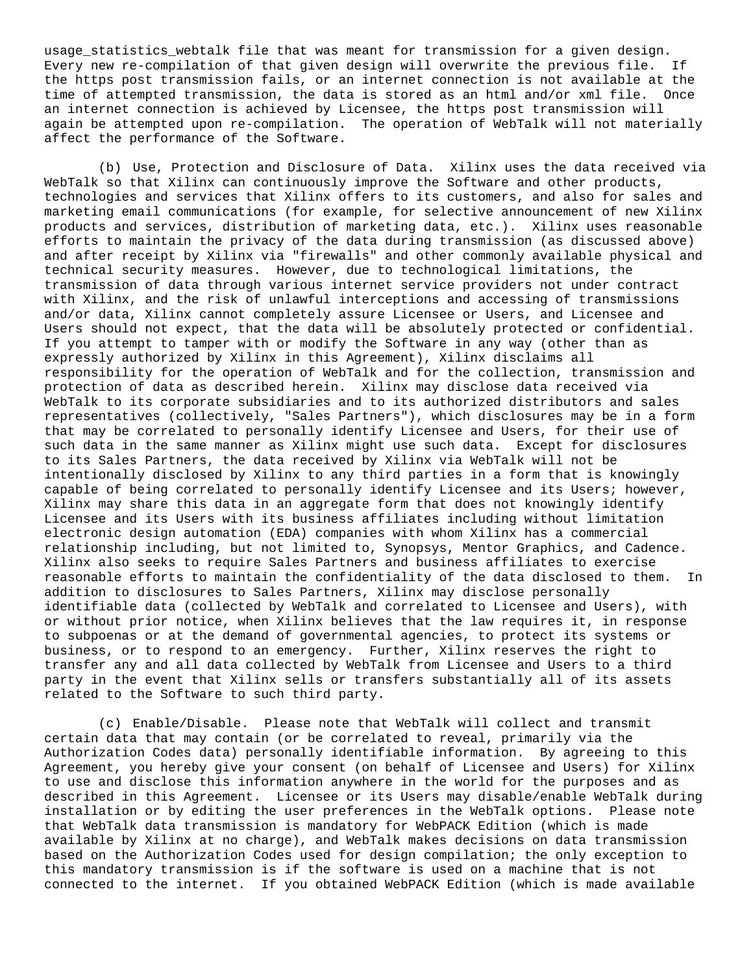usage\_statistics\_webtalk file that was meant for transmission for a given design. Every new re-compilation of that given design will overwrite the previous file. If the https post transmission fails, or an internet connection is not available at the time of attempted transmission, the data is stored as an html and/or xml file. Once an internet connection is achieved by Licensee, the https post transmission will again be attempted upon re-compilation. The operation of WebTalk will not materially affect the performance of the Software.

 (b) Use, Protection and Disclosure of Data. Xilinx uses the data received via WebTalk so that Xilinx can continuously improve the Software and other products, technologies and services that Xilinx offers to its customers, and also for sales and marketing email communications (for example, for selective announcement of new Xilinx products and services, distribution of marketing data, etc.). Xilinx uses reasonable efforts to maintain the privacy of the data during transmission (as discussed above) and after receipt by Xilinx via "firewalls" and other commonly available physical and technical security measures. However, due to technological limitations, the transmission of data through various internet service providers not under contract with Xilinx, and the risk of unlawful interceptions and accessing of transmissions and/or data, Xilinx cannot completely assure Licensee or Users, and Licensee and Users should not expect, that the data will be absolutely protected or confidential. If you attempt to tamper with or modify the Software in any way (other than as expressly authorized by Xilinx in this Agreement), Xilinx disclaims all responsibility for the operation of WebTalk and for the collection, transmission and protection of data as described herein. Xilinx may disclose data received via WebTalk to its corporate subsidiaries and to its authorized distributors and sales representatives (collectively, "Sales Partners"), which disclosures may be in a form that may be correlated to personally identify Licensee and Users, for their use of such data in the same manner as Xilinx might use such data. Except for disclosures to its Sales Partners, the data received by Xilinx via WebTalk will not be intentionally disclosed by Xilinx to any third parties in a form that is knowingly capable of being correlated to personally identify Licensee and its Users; however, Xilinx may share this data in an aggregate form that does not knowingly identify Licensee and its Users with its business affiliates including without limitation electronic design automation (EDA) companies with whom Xilinx has a commercial relationship including, but not limited to, Synopsys, Mentor Graphics, and Cadence. Xilinx also seeks to require Sales Partners and business affiliates to exercise reasonable efforts to maintain the confidentiality of the data disclosed to them. In addition to disclosures to Sales Partners, Xilinx may disclose personally identifiable data (collected by WebTalk and correlated to Licensee and Users), with or without prior notice, when Xilinx believes that the law requires it, in response to subpoenas or at the demand of governmental agencies, to protect its systems or business, or to respond to an emergency. Further, Xilinx reserves the right to transfer any and all data collected by WebTalk from Licensee and Users to a third party in the event that Xilinx sells or transfers substantially all of its assets related to the Software to such third party.

 (c) Enable/Disable. Please note that WebTalk will collect and transmit certain data that may contain (or be correlated to reveal, primarily via the Authorization Codes data) personally identifiable information. By agreeing to this Agreement, you hereby give your consent (on behalf of Licensee and Users) for Xilinx to use and disclose this information anywhere in the world for the purposes and as described in this Agreement. Licensee or its Users may disable/enable WebTalk during installation or by editing the user preferences in the WebTalk options. Please note that WebTalk data transmission is mandatory for WebPACK Edition (which is made available by Xilinx at no charge), and WebTalk makes decisions on data transmission based on the Authorization Codes used for design compilation; the only exception to this mandatory transmission is if the software is used on a machine that is not connected to the internet. If you obtained WebPACK Edition (which is made available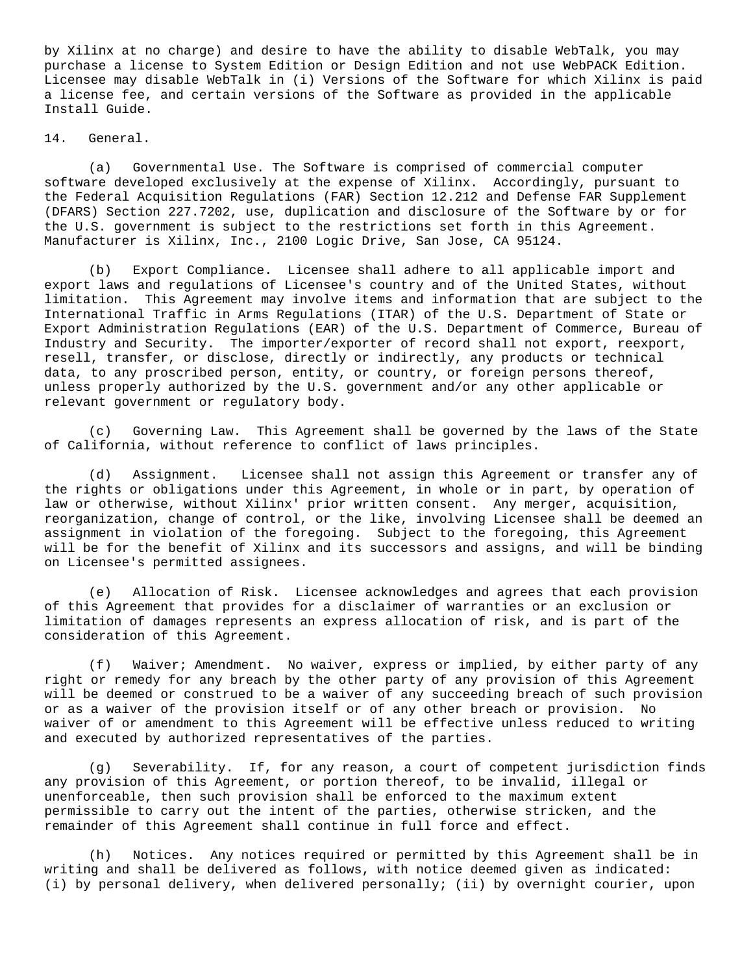by Xilinx at no charge) and desire to have the ability to disable WebTalk, you may purchase a license to System Edition or Design Edition and not use WebPACK Edition. Licensee may disable WebTalk in (i) Versions of the Software for which Xilinx is paid a license fee, and certain versions of the Software as provided in the applicable Install Guide.

14. General.

(a) Governmental Use. The Software is comprised of commercial computer software developed exclusively at the expense of Xilinx. Accordingly, pursuant to the Federal Acquisition Regulations (FAR) Section 12.212 and Defense FAR Supplement (DFARS) Section 227.7202, use, duplication and disclosure of the Software by or for the U.S. government is subject to the restrictions set forth in this Agreement. Manufacturer is Xilinx, Inc., 2100 Logic Drive, San Jose, CA 95124.

(b) Export Compliance. Licensee shall adhere to all applicable import and export laws and regulations of Licensee's country and of the United States, without limitation. This Agreement may involve items and information that are subject to the International Traffic in Arms Regulations (ITAR) of the U.S. Department of State or Export Administration Regulations (EAR) of the U.S. Department of Commerce, Bureau of Industry and Security. The importer/exporter of record shall not export, reexport, resell, transfer, or disclose, directly or indirectly, any products or technical data, to any proscribed person, entity, or country, or foreign persons thereof, unless properly authorized by the U.S. government and/or any other applicable or relevant government or regulatory body.

(c) Governing Law. This Agreement shall be governed by the laws of the State of California, without reference to conflict of laws principles.

(d) Assignment. Licensee shall not assign this Agreement or transfer any of the rights or obligations under this Agreement, in whole or in part, by operation of law or otherwise, without Xilinx' prior written consent. Any merger, acquisition, reorganization, change of control, or the like, involving Licensee shall be deemed an assignment in violation of the foregoing. Subject to the foregoing, this Agreement will be for the benefit of Xilinx and its successors and assigns, and will be binding on Licensee's permitted assignees.

(e) Allocation of Risk. Licensee acknowledges and agrees that each provision of this Agreement that provides for a disclaimer of warranties or an exclusion or limitation of damages represents an express allocation of risk, and is part of the consideration of this Agreement.

(f) Waiver; Amendment. No waiver, express or implied, by either party of any right or remedy for any breach by the other party of any provision of this Agreement will be deemed or construed to be a waiver of any succeeding breach of such provision or as a waiver of the provision itself or of any other breach or provision. No waiver of or amendment to this Agreement will be effective unless reduced to writing and executed by authorized representatives of the parties.

(g) Severability. If, for any reason, a court of competent jurisdiction finds any provision of this Agreement, or portion thereof, to be invalid, illegal or unenforceable, then such provision shall be enforced to the maximum extent permissible to carry out the intent of the parties, otherwise stricken, and the remainder of this Agreement shall continue in full force and effect.

(h) Notices. Any notices required or permitted by this Agreement shall be in writing and shall be delivered as follows, with notice deemed given as indicated: (i) by personal delivery, when delivered personally; (ii) by overnight courier, upon